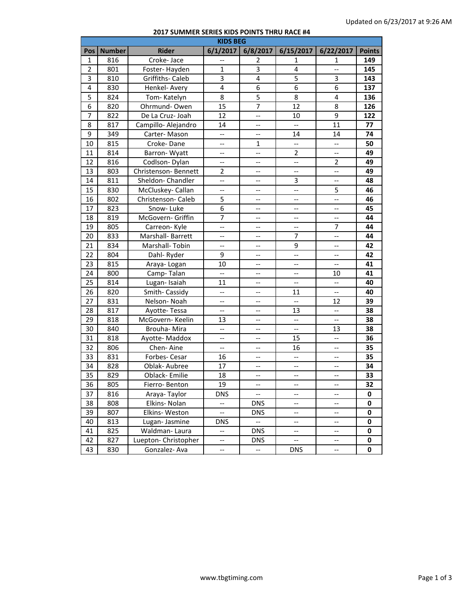## **2017 SUMMER SERIES KIDS POINTS THRU RACE #4**

| <b>KIDS BEG</b> |               |                      |                          |                          |                          |                          |               |  |
|-----------------|---------------|----------------------|--------------------------|--------------------------|--------------------------|--------------------------|---------------|--|
| Pos             | <b>Number</b> | <b>Rider</b>         | 6/1/2017                 | 6/8/2017                 | 6/15/2017                | 6/22/2017                | <b>Points</b> |  |
| $\mathbf{1}$    | 816           | Croke-Jace           | --                       | 2                        | 1                        | 1                        | 149           |  |
| $\overline{2}$  | 801           | Foster-Hayden        | $\mathbf{1}$             | 3                        | 4                        | $\overline{\phantom{a}}$ | 145           |  |
| 3               | 810           | Griffiths- Caleb     | $\overline{3}$           | $\overline{4}$           | $\overline{5}$           | 3                        | 143           |  |
| 4               | 830           | Henkel- Avery        | $\overline{4}$           | 6                        | $\overline{6}$           | $\overline{6}$           | 137           |  |
| 5               | 824           | Tom-Katelyn          | 8                        | 5                        | 8                        | 4                        | 136           |  |
| 6               | 820           | Ohrmund-Owen         | 15                       | 7                        | 12                       | 8                        | 126           |  |
| 7               | 822           | De La Cruz- Joah     | 12                       | --                       | 10                       | 9                        | 122           |  |
| 8               | 817           | Campillo- Alejandro  | 14                       | --                       | $\overline{\phantom{a}}$ | 11                       | 77            |  |
| 9               | 349           | Carter-Mason         | $\overline{\phantom{a}}$ | $\overline{\phantom{a}}$ | 14                       | 14                       | 74            |  |
| 10              | 815           | Croke-Dane           | --                       | 1                        | --                       | $\overline{a}$           | 50            |  |
| 11              | 814           | Barron-Wyatt         | --                       | --                       | 2                        | $\overline{\phantom{a}}$ | 49            |  |
| 12              | 816           | Codlson-Dylan        | --                       | --                       | $\overline{\phantom{a}}$ | $\overline{2}$           | 49            |  |
| 13              | 803           | Christenson-Bennett  | $\overline{2}$           | $\overline{\phantom{a}}$ | $\overline{\phantom{a}}$ | $\overline{\phantom{a}}$ | 49            |  |
| 14              | 811           | Sheldon-Chandler     | $\overline{\phantom{a}}$ | $\qquad \qquad -$        | 3                        | $\overline{\phantom{a}}$ | 48            |  |
| 15              | 830           | McCluskey-Callan     | $\overline{\phantom{a}}$ | $\overline{\phantom{a}}$ | $\overline{\phantom{a}}$ | 5                        | 46            |  |
| 16              | 802           | Christenson-Caleb    | 5                        | $\overline{\phantom{a}}$ | $\overline{\phantom{a}}$ | $\overline{\phantom{a}}$ | 46            |  |
| 17              | 823           | Snow-Luke            | 6                        | --                       | $\overline{\phantom{a}}$ | $\overline{\phantom{a}}$ | 45            |  |
| 18              | 819           | McGovern- Griffin    | $\overline{7}$           | --                       | --                       | $\overline{\phantom{a}}$ | 44            |  |
| 19              | 805           | Carreon-Kyle         | --                       | --                       | $\overline{\phantom{a}}$ | $\overline{7}$           | 44            |  |
| 20              | 833           | Marshall-Barrett     | --                       | $\overline{\phantom{a}}$ | $\overline{7}$           | --                       | 44            |  |
| 21              | 834           | Marshall-Tobin       | --                       | --                       | 9                        | $\overline{a}$           | 42            |  |
| 22              | 804           | Dahl-Ryder           | 9                        | $\overline{\phantom{a}}$ | $\overline{\phantom{a}}$ | --                       | 42            |  |
| 23              | 815           | Araya-Logan          | 10                       | --                       | $\overline{\phantom{a}}$ | --                       | 41            |  |
| 24              | 800           | Camp-Talan           | --                       | $-\!$                    | --                       | 10                       | 41            |  |
| 25              | 814           | Lugan-Isaiah         | 11                       | $\qquad \qquad -$        | $\overline{\phantom{a}}$ | $\overline{\phantom{a}}$ | 40            |  |
| 26              | 820           | Smith-Cassidy        | $\overline{\phantom{a}}$ | $\overline{\phantom{a}}$ | 11                       | $\overline{\phantom{a}}$ | 40            |  |
| 27              | 831           | Nelson-Noah          | --                       | $\qquad \qquad -$        | $\overline{\phantom{a}}$ | 12                       | 39            |  |
| 28              | 817           | Ayotte-Tessa         | $\overline{\phantom{a}}$ | $\overline{\phantom{a}}$ | 13                       | $\overline{\phantom{a}}$ | 38            |  |
| 29              | 818           | McGovern-Keelin      | 13                       | --                       | --                       | --                       | 38            |  |
| 30              | 840           | Brouha-Mira          | $\overline{\phantom{a}}$ | --                       | $\overline{\phantom{a}}$ | 13                       | 38            |  |
| 31              | 818           | Ayotte-Maddox        | --                       | --                       | 15                       | $\overline{a}$           | 36            |  |
| 32              | 806           | Chen-Aine            | $\overline{\phantom{a}}$ | --                       | 16                       | $\overline{\phantom{a}}$ | 35            |  |
| 33              | 831           | Forbes-Cesar         | 16                       | --                       | $\overline{\phantom{a}}$ | $\overline{\phantom{a}}$ | 35            |  |
| 34              | 828           | Oblak- Aubree        | 17                       | --                       | $\overline{\phantom{a}}$ | $\overline{\phantom{a}}$ | 34            |  |
| 35              | 829           | Oblack-Emilie        | 18                       | $\overline{\phantom{a}}$ | $-$                      | --                       | 33            |  |
| 36              | 805           | Fierro-Benton        | 19                       | $\overline{\phantom{a}}$ | --                       | --                       | 32            |  |
| 37              | 816           | Araya-Taylor         | <b>DNS</b>               | $\overline{\phantom{a}}$ | --                       | --                       | 0             |  |
| 38              | 808           | Elkins-Nolan         | $\overline{\phantom{a}}$ | <b>DNS</b>               | --                       | $\overline{\phantom{a}}$ | 0             |  |
| 39              | 807           | Elkins-Weston        | $\overline{\phantom{a}}$ | <b>DNS</b>               | $\overline{\phantom{a}}$ | $\overline{\phantom{a}}$ | 0             |  |
| 40              | 813           | Lugan-Jasmine        | <b>DNS</b>               | $\ddot{\phantom{1}}$     | $\overline{\phantom{a}}$ | $\overline{\phantom{a}}$ | 0             |  |
| 41              | 825           | Waldman-Laura        | $\overline{\phantom{a}}$ | <b>DNS</b>               | $\overline{\phantom{a}}$ | $\overline{\phantom{a}}$ | 0             |  |
| 42              | 827           | Luepton- Christopher | $\overline{\phantom{a}}$ | <b>DNS</b>               | $\overline{\phantom{a}}$ | --                       | 0             |  |
| 43              | 830           | Gonzalez-Ava         | --                       | $\overline{\phantom{a}}$ | <b>DNS</b>               | --                       | 0             |  |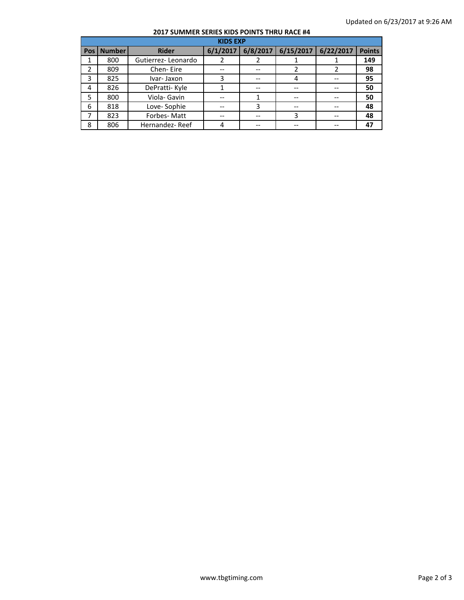## **2017 SUMMER SERIES KIDS POINTS THRU RACE #4**

| <b>KIDS EXP</b> |               |                    |  |                     |           |           |               |  |
|-----------------|---------------|--------------------|--|---------------------|-----------|-----------|---------------|--|
| Pos I           | <b>Number</b> | <b>Rider</b>       |  | $6/1/2017$ 6/8/2017 | 6/15/2017 | 6/22/2017 | <b>Points</b> |  |
|                 | 800           | Gutierrez-Leonardo |  |                     |           |           | 149           |  |
| 2               | 809           | Chen-Eire          |  |                     |           |           | 98            |  |
| 3               | 825           | Ivar-Jaxon         |  |                     |           |           | 95            |  |
| 4               | 826           | DePratti-Kyle      |  | --                  |           |           | 50            |  |
| 5               | 800           | Viola- Gavin       |  |                     |           |           | 50            |  |
| 6               | 818           | Love-Sophie        |  | 3                   |           |           | 48            |  |
|                 | 823           | Forbes-Matt        |  |                     | 3         |           | 48            |  |
| 8               | 806           | Hernandez-Reef     |  |                     |           |           | 47            |  |